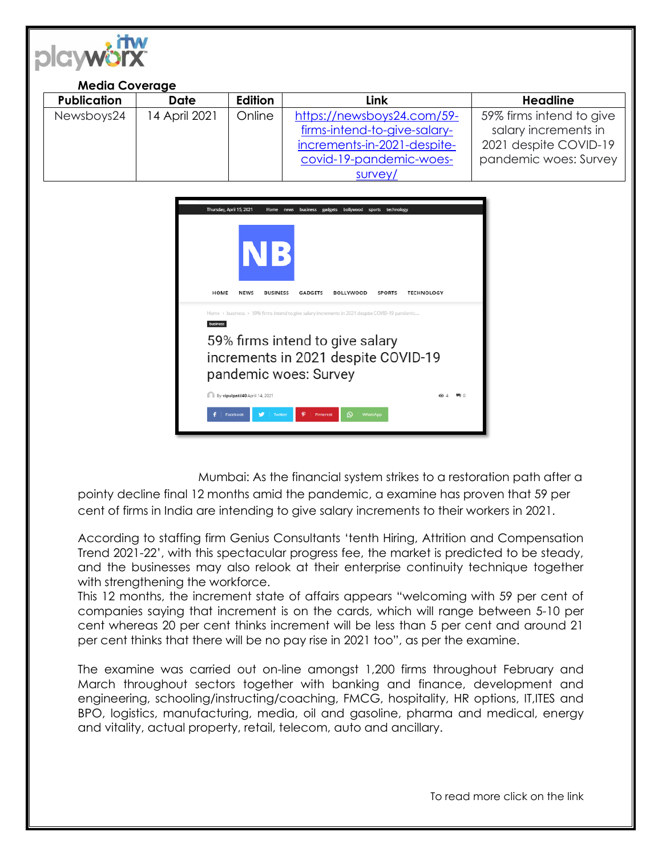

| <b>Media Coverage</b> |               |         |                              |                          |
|-----------------------|---------------|---------|------------------------------|--------------------------|
| <b>Publication</b>    | Date          | Edition | Link                         | <b>Headline</b>          |
| Newsboys24            | 14 April 2021 | Online  | https://newsboys24.com/59-   | 59% firms intend to give |
|                       |               |         | firms-intend-to-give-salary- | salary increments in     |
|                       |               |         | increments-in-2021-despite-  | 2021 despite COVID-19    |
|                       |               |         | covid-19-pandemic-woes-      | pandemic woes: Survey    |
|                       |               |         | survey/                      |                          |



Mumbai: As the financial system strikes to a restoration path after a pointy decline final 12 months amid the pandemic, a examine has proven that 59 per cent of firms in India are intending to give salary increments to their workers in 2021.

According to staffing firm Genius Consultants 'tenth Hiring, Attrition and Compensation Trend 2021-22', with this spectacular progress fee, the market is predicted to be steady, and the businesses may also relook at their enterprise continuity technique together with strengthening the workforce.

This 12 months, the increment state of affairs appears "welcoming with 59 per cent of companies saying that increment is on the cards, which will range between 5-10 per cent whereas 20 per cent thinks increment will be less than 5 per cent and around 21 per cent thinks that there will be no pay rise in 2021 too", as per the examine.

The examine was carried out on-line amongst 1,200 firms throughout February and March throughout sectors together with banking and finance, development and engineering, schooling/instructing/coaching, FMCG, hospitality, HR options, IT,ITES and BPO, logistics, manufacturing, media, oil and gasoline, pharma and medical, energy and vitality, actual property, retail, telecom, auto and ancillary.

To read more click on the link